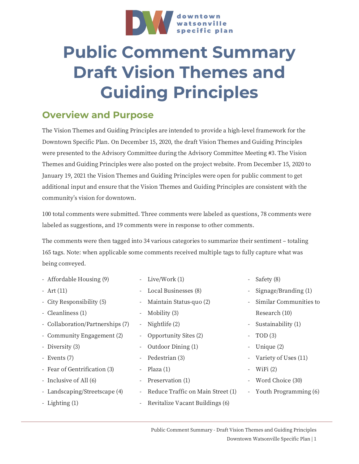

## **Public Comment Summary Draft Vision Themes and Guiding Principles**

## **Overview and Purpose**

The Vision Themes and Guiding Principles are intended to provide a high-level framework for the Downtown Specific Plan. On December 15, 2020, the draft Vision Themes and Guiding Principles were presented to the Advisory Committee during the Advisory Committee Meeting #3. The Vision Themes and Guiding Principles were also posted on the project website. From December 15, 2020 to January 19, 2021 the Vision Themes and Guiding Principles were open for public comment to get additional input and ensure that the Vision Themes and Guiding Principles are consistent with the community's vision for downtown.

100 total comments were submitted. Three comments were labeled as questions, 78 comments were labeled as suggestions, and 19 comments were in response to other comments.

The comments were then tagged into 34 various categories to summarize their sentiment – totaling 165 tags. Note: when applicable some comments received multiple tags to fully capture what was being conveyed.

| - Live/Work (1)                                               |                          | - Safety (8)            |
|---------------------------------------------------------------|--------------------------|-------------------------|
| Local Businesses (8)<br>$\overline{\phantom{a}}$              | $\overline{\phantom{a}}$ | Signage/Branding $(1)$  |
| Maintain Status-quo (2)<br>$\overline{\phantom{a}}$           |                          | Similar Communities to  |
| Mobility (3)<br>$\overline{\phantom{a}}$                      |                          | Research (10)           |
| Nightlife (2)<br>$\equiv$                                     |                          | - Sustainability (1)    |
| Opportunity Sites (2)<br>$\overline{\phantom{a}}$             | $\overline{\phantom{0}}$ | TOD(3)                  |
| Outdoor Dining (1)<br>$\overline{\phantom{a}}$                |                          | - Unique (2)            |
| Pedestrian (3)<br>$\overline{\phantom{a}}$                    |                          | - Variety of Uses (11)  |
| Plaza (1)<br>$\overline{\phantom{a}}$                         |                          | - WiFi $(2)$            |
| Preservation (1)<br>$\overline{\phantom{a}}$                  | $\overline{\phantom{0}}$ | Word Choice (30)        |
| Reduce Traffic on Main Street (1)<br>$\overline{\phantom{a}}$ |                          | - Youth Programming (6) |
| Revitalize Vacant Buildings (6)                               |                          |                         |
|                                                               |                          |                         |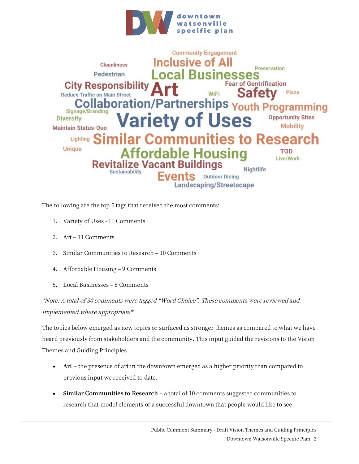



The following are the top 5 tags that received the most comments:

- 1. Variety of Uses 11 Comments
- 2. Art 11 Comments
- 3. Similar Communities to Research 10 Comments
- 4. Affordable Housing 9 Comments
- 5. Local Businesses 8 Comments

\*Note: A total of 30 comments were tagged "Word Choice". These comments were reviewed and implemented where appropriate\*

The topics below emerged as new topics or surfaced as stronger themes as compared to what we have heard previously from stakeholders and the community. This input guided the revisions to the Vision Themes and Guiding Principles.

- **Art** the presence of art in the downtown emerged as a higher priority than compared to previous input we received to date.
- **Similar Communities to Research** a total of 10 comments suggested communities to research that model elements of a successful downtown that people would like to see